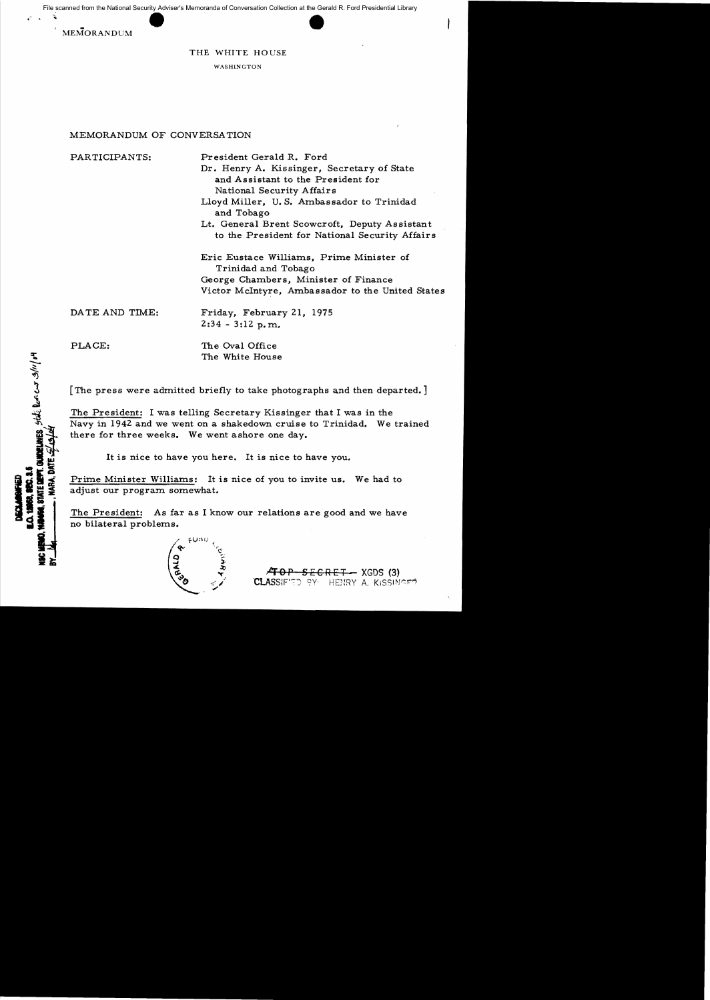MEMORANDUM



## THE WHITE HOUSE

WASHINGTON

## MEMORANDUM OF CONVERSATION

PARTICIPANTS: President Gerald R. Ford Dr. Henry A. Kissinger, Secretary of State

and Assistant to the President for National Security Affairs

Lloyd Miller, U. S. Ambassador to Trinidad and Tobago

Lt. General Brent Scowcroft, Deputy Assistant to the President for National Security Affairs

Eric Eustace Williams, Prime Minister of Trinidad and Tobago George Chambers, Minister of Finance Victor McIntyre, Ambassador to the United States

DA TE AND TIME: Friday, February 21, 1975

 $2:34 - 3:12$  p.m.

**WELHES**, state look case 3/11/04

PLACE: The Oval Office The White House

[The press were admitted briefly to take photographs and then departed.]

The President: I was telling Secretary Kissinger that I was in the Navy in 1942 and we went on a shakedown cruise to Trinidad. We trained there for three weeks. We went ashore one day.

It is nice to have you here. It is nice to have you.

Prime Minister Williams: It is nice of you to invite us. We had to adjust our program somewhat.

The President: As far as I know our relations are good and we have no bilateral problems.

<del>.RET -</del> XGDS (3) BY: HENRY A. KISSINGED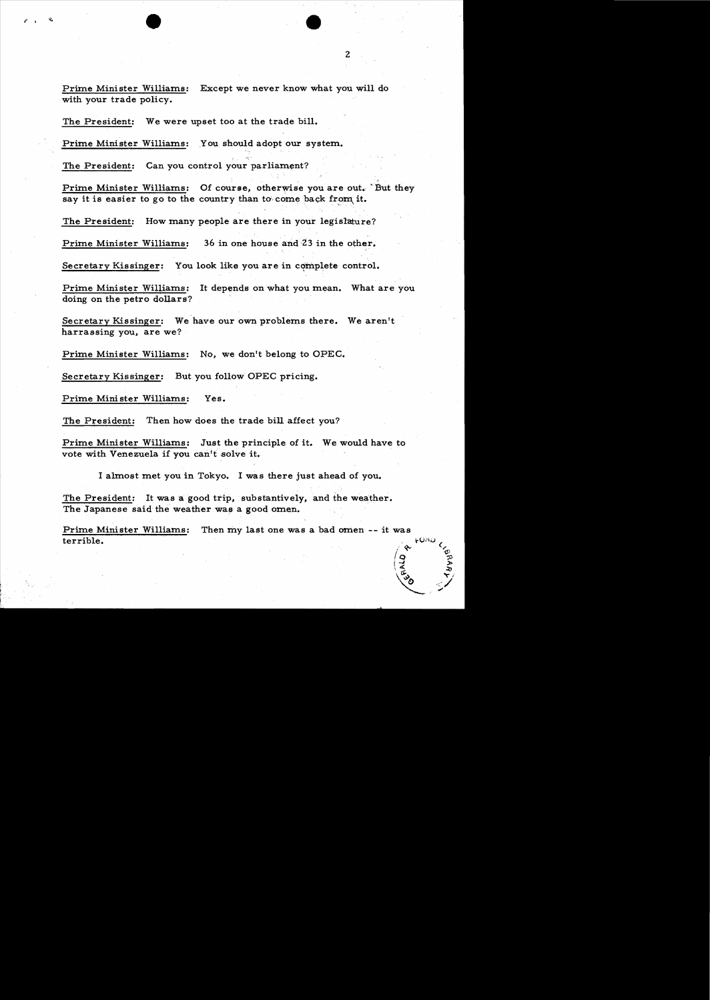Prime Minister Williams: Except we never know what you will do with your trade policy.

The President: We were upset too at the trade bill.

Prime Minister Williams: You, should adopt our system.

The President: Can you control your parliament?

Prime Minister Williams: Of course, otherwise you are out. But they say it is easier to go to the country than to come back from it.

The President: How many people are there in your legislature?

Prime Minister Williams: 36 in one house and 23 in the other.

Secretary Kissinger: You look like you are in complete control.

Prime Minister Williams: It depends on what you mean. What are you doing on the petro dollars?

Secretary Kissinger: We have our own problems there. We aren't harrassing you, are we?

Prime Minister Williams: No, we don't belong to OPEC.

Secretary Kissinger: But you follow OPEC pricing.

Prime Mini ster Williams: Yes.

The President: Then how does the trade bill affect you?

Prime Minister. Williams: Just the principle of it. We would have to vote with Venezuela if you can't solve it.

I almost met you in Tokyo. I was there just ahead of you.

The President: It was a good trip, substantively, and the weather. The Japanese said the weather was a good omen.

Prime Minister Williams: Then my last one was a bad omen -- it was  $\begin{pmatrix} 1 & 1 & 1 \\ 0 & 1 & 1 \\ 0 & 0 & 1 \end{pmatrix}$ 

 $\frac{1}{2}$  .  $\frac{1}{2}$ cJ;.~ *""I* () <:/ ,""'"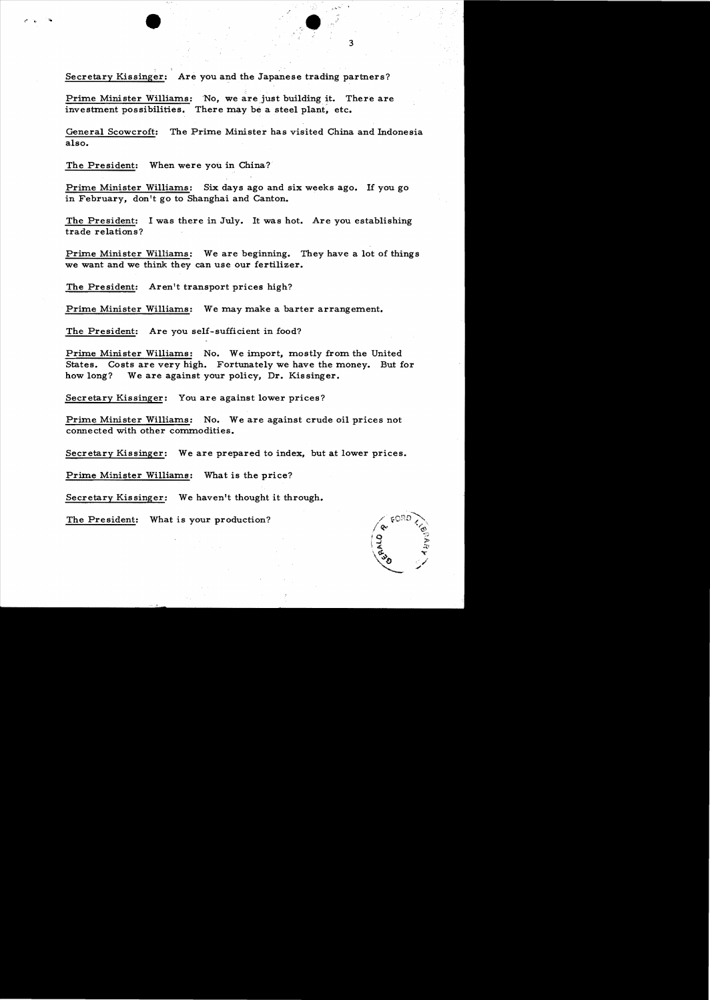Secretary Kissinger: Are you and the Japanese trading partners?

Prime Minister Williams: No, we are just building it. There are investment possibilities. There may be a steel plant, etc.

General Scowcroft: The Prime Minister has visited China and Indonesia also.

The President: When were you in China?

Prime Minister Williams: Six days ago and six weeks ago. If you go in February, don't go to Shanghai and Canton.

The President: I was there in July. It was hot. Are you establishing trade relations?

Prime Minister Williams: We are beginning. They have a lot of things we want and we think they can use our fertilizer.

The President: Aren't transport prices high?

Prime Minister Williams: We may make a barter arrangement.

The President: Are you self-sufficient in food?

Prime Minister Williams: No. We import, mostly from the United States. Costs are very high. Fortunately we have the money. But for how long? We are against your policy, Dr. Kissinger.

Secretary Kissinger: You are against lower prices?

Prime Minister Williams: No. We are against crude oil prices not connected with other commodities.

Secretary Kissinger: We are prepared to index, but at lower prices.

Prime Minister Williams: What is the price?

Secretary Kissinger: We haven't thought it through.

The President: What is your production?

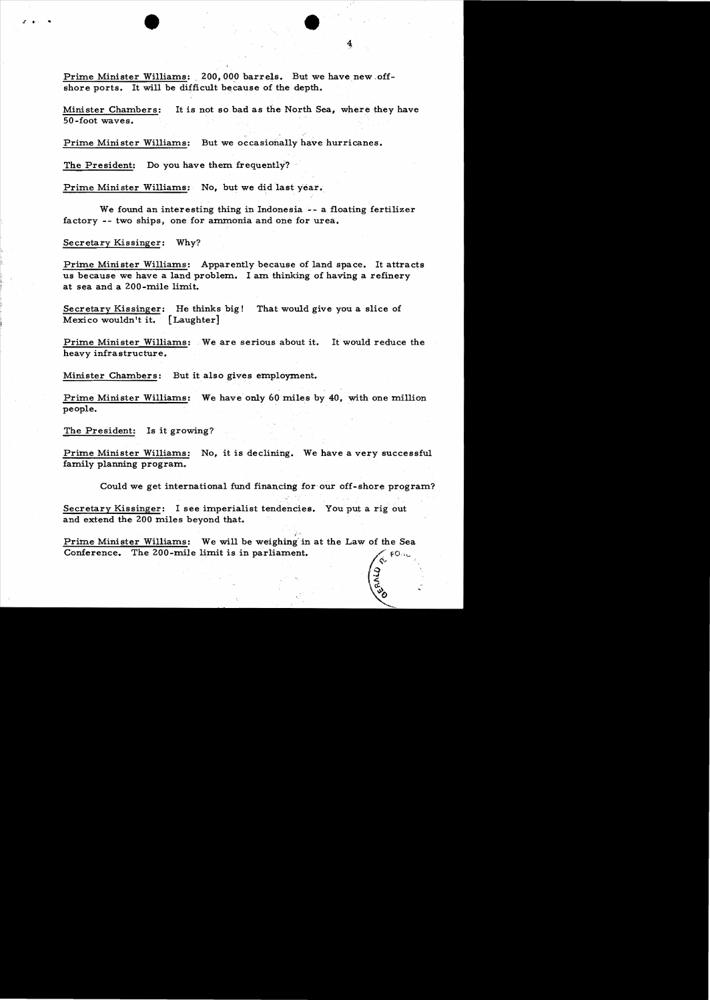Prime Minister Williams: 200,000 barrels. But we have new offshore ports. It will be difficult because of the depth.

Minister Chambers: It is not so bad as the North Sea, where they have 50-foot waves.

Prime Minister Williams: But we occasionally have hurricanes.

The President: Do you have them frequently?

Prime Minister Williams: No, but we did last year.

We found an interesting thing in Indonesia -- a floating fertilizer factory -- two ships, one for ammonia and one for urea.

Secretary Kissinger: Why?

Prime Minister Williams: Apparently because of land space. It attracts us because we have a land problem. I am thinking of having a refinery at sea and a 200-mile limit.

Secretary Kissinger: He thinks big! That would give you a slice of Mexico wouldn't it. (Laughter]

Prime Minister Williams: We are serious about it. It would reduce the heavy infrastructure.

Minister Chambers: But it also gives employment.

Prime Minister Williams: We have only 60 miles by 40, with one million people.

The President: Is it growing?

Prime Minister Williams: No, it is declining. We have a very successful family planning program.

Could we get international fund financing for our off-shore program?

1;:. <sup>~</sup>

Secretary Kissinger: I see imperialist tendencies. You put a rig out and extend the 200 miles beyond that.

. .~ .

Prime Minister Williams: We will be weighing'in at the Law of the Sea Conference. The ZOO-mile limit is in parliament.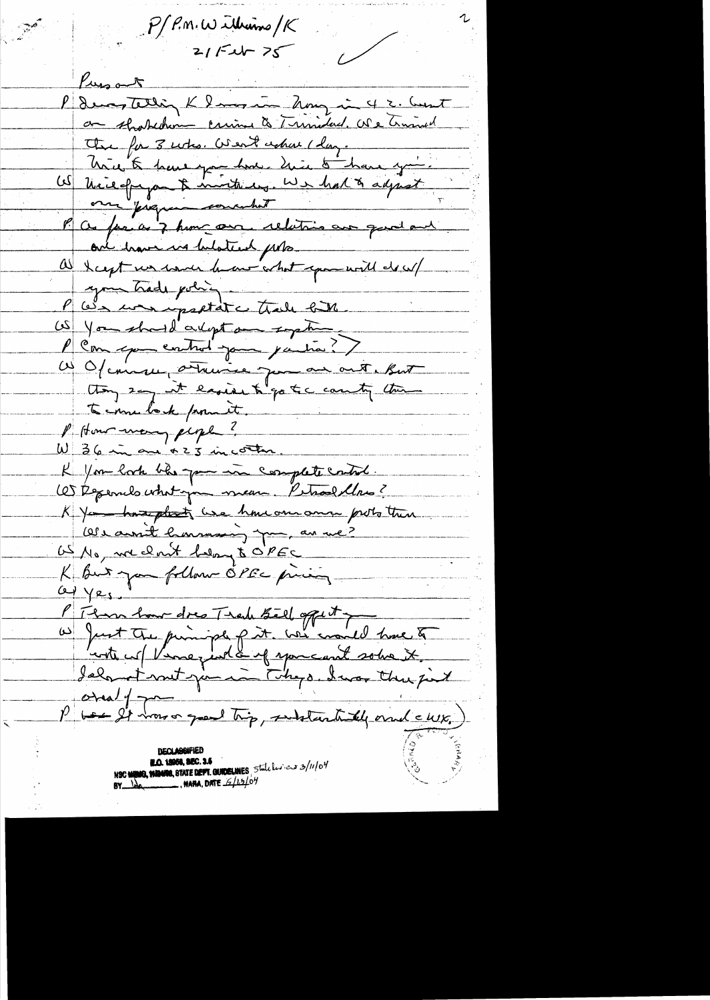$P/P.m.W.$  We interval of  $R$  $21/526 - 75$ Pursont P demonstelling K langer - hong in 4 2. Count or shokehome crime to Trimidad. We trimed The for 3 who. Went achou I day. hier to have you have hier to have you US Nicefragon & monterey. We had to adjust our pregun concertat P as far as 7 home one relations are good and one have us belated proa hapt un man have what span will do w/ your trade policy P We were partite trale for US You should a lept an sight Com que control jour partir.)  $\mathbb{Z}$ W Of conser a traine jum an out. But thong say it easier to go to country the to me look from it. P How many people? W 36 in an +23 in corter. K You look ble you in complete cate. OS Repernels what you mean. Petrol llow? K Ya home plot use how one and proto then Obecassit hommaning pour, an une? US No, we don't help to PEC K But you follow OPEC pricing  $\alpha$   $\gamma$ es P Than have dres Track Siel offert pour to  $-\frac{1}{2}$ so good trip, substantially ornal clubs,)  $\frac{\rho}{\rho}$  bear  $\frac{\rho}{\rho}$  and **DECLARGEMED BLO. 18958, SEC. 3.5** NEC MENIO, NAMERO, STATE DEPT. GUIDELINES, State les es 3/11/04 **BY**  $\frac{1}{2}$  , **MARA, DATE**  $\frac{2}{10}$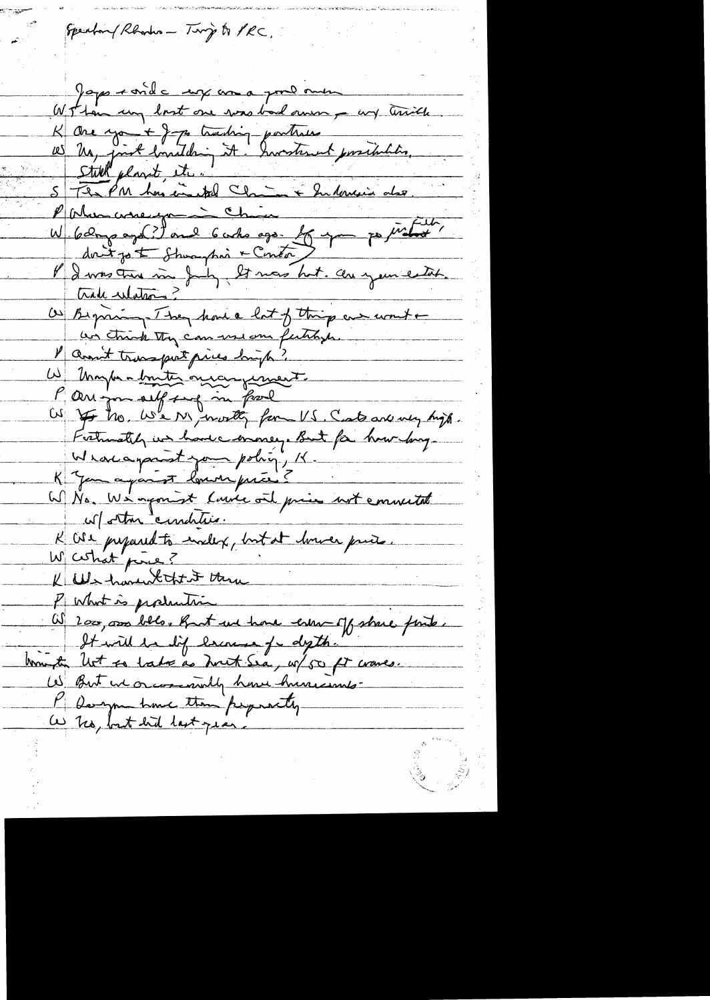Speakary Rhondes - Ting to PRC. Japo ronde un a poulonne Wohn un lost one was bad onen a un traite K are you + J 70 tracting parties<br>10 Mg foist bouilding it. Investement possibilities. Philosopheryamin Chica W 6 dags ago (?) and 6 who ago for you possible, dont jo & Shoughon + Contor l'Investiment de pour les mois hot. Au your estat. O Beginning. They have lot of this are won't an think they can use our fertilises. P anon't transport prices high? W Unghan bouter original P au jou aiff sug in fail Frankly us have money. But for how long Weakayanist your policy, K. K Jemanjant louvriprie ? W No. We agonist Course and price not emmeitat w/other condition. K CSI prepared to include, but at house paris. W certist price? K We haven that it there P What is production (i) 2000, 0000 bills, But we have cherc of share finte. It will be lif lescouse for depth. tommeter let so late as Just Sea, up 50 ft cranes. W But we or commently have hun comp-P Danyon have then perpectly a no, but hid last year.